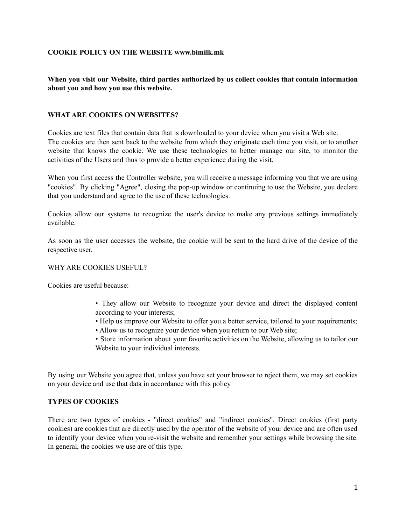## **COOKIE POLICY ON THE WEBSITE www.bimilk.mk**

# **When you visit our Website, third parties authorized by us collect cookies that contain information about you and how you use this website.**

## **WHAT ARE COOKIES ON WEBSITES?**

Cookies are text files that contain data that is downloaded to your device when you visit a Web site. The cookies are then sent back to the website from which they originate each time you visit, or to another website that knows the cookie. We use these technologies to better manage our site, to monitor the activities of the Users and thus to provide a better experience during the visit.

When you first access the Controller website, you will receive a message informing you that we are using "cookies". By clicking "Agree", closing the pop-up window or continuing to use the Website, you declare that you understand and agree to the use of these technologies.

Cookies allow our systems to recognize the user's device to make any previous settings immediately available.

As soon as the user accesses the website, the cookie will be sent to the hard drive of the device of the respective user.

#### WHY ARE COOKIES USEFUL?

Cookies are useful because:

- They allow our Website to recognize your device and direct the displayed content according to your interests;
- Help us improve our Website to offer you a better service, tailored to your requirements;
- Allow us to recognize your device when you return to our Web site;
- Store information about your favorite activities on the Website, allowing us to tailor our Website to your individual interests.

By using our Website you agree that, unless you have set your browser to reject them, we may set cookies on your device and use that data in accordance with this policy

#### **TYPES OF COOKIES**

There are two types of cookies - "direct cookies" and "indirect cookies". Direct cookies (first party cookies) are cookies that are directly used by the operator of the website of your device and are often used to identify your device when you re-visit the website and remember your settings while browsing the site. In general, the cookies we use are of this type.